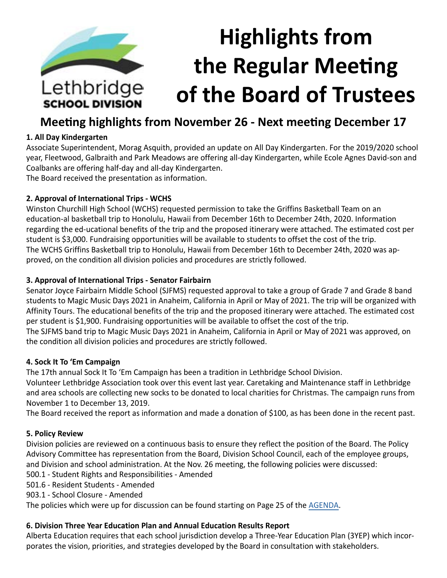

# **Meeting highlights from November 26 - Next meeting December 17**

## **1. All Day Kindergarten**

Associate Superintendent, Morag Asquith, provided an update on All Day Kindergarten. For the 2019/2020 school year, Fleetwood, Galbraith and Park Meadows are offering all-day Kindergarten, while Ecole Agnes David-son and Coalbanks are offering half-day and all-day Kindergarten.

The Board received the presentation as information.

## **2. Approval of International Trips - WCHS**

Winston Churchill High School (WCHS) requested permission to take the Griffins Basketball Team on an education-al basketball trip to Honolulu, Hawaii from December 16th to December 24th, 2020. Information regarding the ed-ucational benefits of the trip and the proposed itinerary were attached. The estimated cost per student is \$3,000. Fundraising opportunities will be available to students to offset the cost of the trip. The WCHS Griffins Basketball trip to Honolulu, Hawaii from December 16th to December 24th, 2020 was approved, on the condition all division policies and procedures are strictly followed.

### **3. Approval of International Trips - Senator Fairbairn**

Senator Joyce Fairbairn Middle School (SJFMS) requested approval to take a group of Grade 7 and Grade 8 band students to Magic Music Days 2021 in Anaheim, California in April or May of 2021. The trip will be organized with Affinity Tours. The educational benefits of the trip and the proposed itinerary were attached. The estimated cost per student is \$1,900. Fundraising opportunities will be available to offset the cost of the trip. The SJFMS band trip to Magic Music Days 2021 in Anaheim, California in April or May of 2021 was approved, on the condition all division policies and procedures are strictly followed.

### **4. Sock It To 'Em Campaign**

The 17th annual Sock It To 'Em Campaign has been a tradition in Lethbridge School Division.

Volunteer Lethbridge Association took over this event last year. Caretaking and Maintenance staff in Lethbridge and area schools are collecting new socks to be donated to local charities for Christmas. The campaign runs from November 1 to December 13, 2019.

The Board received the report as information and made a donation of \$100, as has been done in the recent past.

### **5. Policy Review**

Division policies are reviewed on a continuous basis to ensure they reflect the position of the Board. The Policy Advisory Committee has representation from the Board, Division School Council, each of the employee groups, and Division and school administration. At the Nov. 26 meeting, the following policies were discussed:

500.1 - Student Rights and Responsibilities - Amended

501.6 - Resident Students - Amended

903.1 - School Closure - Amended

The policies which were up for discussion can be found starting on Page 25 of the [AGENDA](https://www.lethsd.ab.ca/download/217850).

# **6. Division Three Year Education Plan and Annual Education Results Report**

Alberta Education requires that each school jurisdiction develop a Three-Year Education Plan (3YEP) which incorporates the vision, priorities, and strategies developed by the Board in consultation with stakeholders.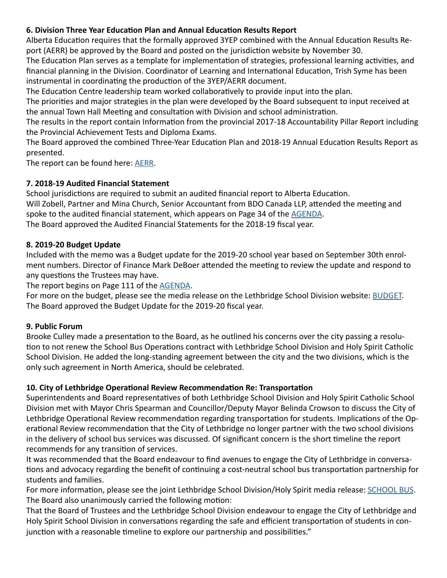## **6. Division Three Year Education Plan and Annual Education Results Report**

Alberta Education requires that the formally approved 3YEP combined with the Annual Education Results Report (AERR) be approved by the Board and posted on the jurisdiction website by November 30.

The Education Plan serves as a template for implementation of strategies, professional learning activities, and financial planning in the Division. Coordinator of Learning and International Education, Trish Syme has been instrumental in coordinating the production of the 3YEP/AERR document.

The Education Centre leadership team worked collaboratively to provide input into the plan.

The priorities and major strategies in the plan were developed by the Board subsequent to input received at the annual Town Hall Meeting and consultation with Division and school administration.

The results in the report contain Information from the provincial 2017-18 Accountability Pillar Report including the Provincial Achievement Tests and Diploma Exams.

The Board approved the combined Three-Year Education Plan and 2018-19 Annual Education Results Report as presented.

The report can be found here: [AERR.](https://www.lethsd.ab.ca/download/219164)

### **7. 2018-19 Audited Financial Statement**

School jurisdictions are required to submit an audited financial report to Alberta Education. Will Zobell, Partner and Mina Church, Senior Accountant from BDO Canada LLP, attended the meeting and spoke to the audited financial statement, which appears on Page 34 of the [AGENDA](https://www.lethsd.ab.ca/download/217850). The Board approved the Audited Financial Statements for the 2018-19 fiscal year.

### **8. 2019-20 Budget Update**

Included with the memo was a Budget update for the 2019-20 school year based on September 30th enrolment numbers. Director of Finance Mark DeBoer attended the meeting to review the update and respond to any questions the Trustees may have.

The report begins on Page 111 of the [AGENDA.](https://www.lethsd.ab.ca/download/217850)

For more on the budget, please see the media release on the Lethbridge School Division website: **[BUDGET](https://www.lethsd.ab.ca/our-district/news/post/lethbridge-school-division-board-approves-2019-2020-budget-update)**. The Board approved the Budget Update for the 2019-20 fiscal year.

### **9. Public Forum**

Brooke Culley made a presentation to the Board, as he outlined his concerns over the city passing a resolution to not renew the School Bus Operations contract with Lethbridge School Division and Holy Spirit Catholic School Division. He added the long-standing agreement between the city and the two divisions, which is the only such agreement in North America, should be celebrated.

### **10. City of Lethbridge Operational Review Recommendation Re: Transportation**

Superintendents and Board representatives of both Lethbridge School Division and Holy Spirit Catholic School Division met with Mayor Chris Spearman and Councillor/Deputy Mayor Belinda Crowson to discuss the City of Lethbridge Operational Review recommendation regarding transportation for students. Implications of the Operational Review recommendation that the City of Lethbridge no longer partner with the two school divisions in the delivery of school bus services was discussed. Of significant concern is the short timeline the report recommends for any transition of services.

It was recommended that the Board endeavour to find avenues to engage the City of Lethbridge in conversations and advocacy regarding the benefit of continuing a cost-neutral school bus transportation partnership for students and families.

For more information, please see the joint Lethbridge School Division/Holy Spirit media release: [SCHOOL BUS.](https://www.lethsd.ab.ca/our-district/news/post/divisions-concerned-about-city-resolution-to-transfer-school-bus-operations-to-school-boards) The Board also unanimously carried the following motion:

That the Board of Trustees and the Lethbridge School Division endeavour to engage the City of Lethbridge and Holy Spirit School Division in conversations regarding the safe and efficient transportation of students in conjunction with a reasonable timeline to explore our partnership and possibilities."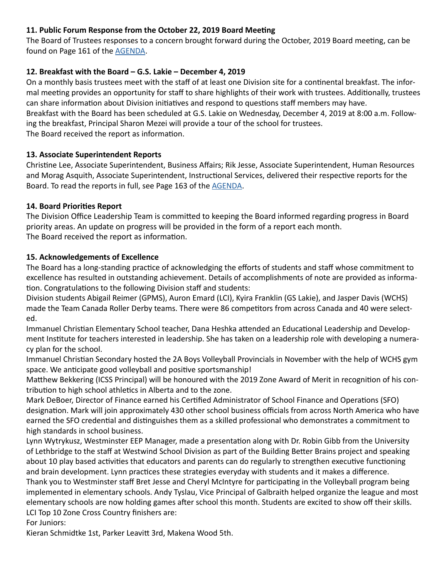## **11. Public Forum Response from the October 22, 2019 Board Meeting**

The Board of Trustees responses to a concern brought forward during the October, 2019 Board meeting, can be found on Page 161 of the [AGENDA](https://www.lethsd.ab.ca/download/217850).

## **12. Breakfast with the Board – G.S. Lakie – December 4, 2019**

On a monthly basis trustees meet with the staff of at least one Division site for a continental breakfast. The informal meeting provides an opportunity for staff to share highlights of their work with trustees. Additionally, trustees can share information about Division initiatives and respond to questions staff members may have. Breakfast with the Board has been scheduled at G.S. Lakie on Wednesday, December 4, 2019 at 8:00 a.m. Following the breakfast, Principal Sharon Mezei will provide a tour of the school for trustees. The Board received the report as information.

### **13. Associate Superintendent Reports**

Christine Lee, Associate Superintendent, Business Affairs; Rik Jesse, Associate Superintendent, Human Resources and Morag Asquith, Associate Superintendent, Instructional Services, delivered their respective reports for the Board. To read the reports in full, see Page 163 of the [AGENDA.](https://www.lethsd.ab.ca/download/217850)

## **14. Board Priorities Report**

The Division Office Leadership Team is committed to keeping the Board informed regarding progress in Board priority areas. An update on progress will be provided in the form of a report each month. The Board received the report as information.

## **15. Acknowledgements of Excellence**

The Board has a long-standing practice of acknowledging the efforts of students and staff whose commitment to excellence has resulted in outstanding achievement. Details of accomplishments of note are provided as information. Congratulations to the following Division staff and students:

Division students Abigail Reimer (GPMS), Auron Emard (LCI), Kyira Franklin (GS Lakie), and Jasper Davis (WCHS) made the Team Canada Roller Derby teams. There were 86 competitors from across Canada and 40 were selected.

Immanuel Christian Elementary School teacher, Dana Heshka attended an Educational Leadership and Development Institute for teachers interested in leadership. She has taken on a leadership role with developing a numeracy plan for the school.

Immanuel Christian Secondary hosted the 2A Boys Volleyball Provincials in November with the help of WCHS gym space. We anticipate good volleyball and positive sportsmanship!

Matthew Bekkering (ICSS Principal) will be honoured with the 2019 Zone Award of Merit in recognition of his contribution to high school athletics in Alberta and to the zone.

Mark DeBoer, Director of Finance earned his Certified Administrator of School Finance and Operations (SFO) designation. Mark will join approximately 430 other school business officials from across North America who have earned the SFO credential and distinguishes them as a skilled professional who demonstrates a commitment to high standards in school business.

Lynn Wytrykusz, Westminster EEP Manager, made a presentation along with Dr. Robin Gibb from the University of Lethbridge to the staff at Westwind School Division as part of the Building Better Brains project and speaking about 10 play based activities that educators and parents can do regularly to strengthen executive functioning and brain development. Lynn practices these strategies everyday with students and it makes a difference. Thank you to Westminster staff Bret Jesse and Cheryl McIntyre for participating in the Volleyball program being

implemented in elementary schools. Andy Tyslau, Vice Principal of Galbraith helped organize the league and most elementary schools are now holding games after school this month. Students are excited to show off their skills. LCI Top 10 Zone Cross Country finishers are:

For Juniors:

Kieran Schmidtke 1st, Parker Leavitt 3rd, Makena Wood 5th.